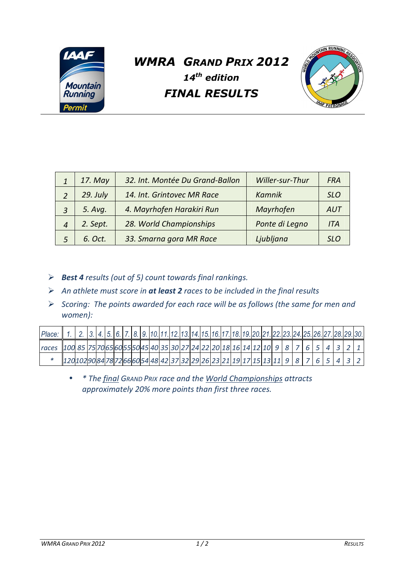

## *WMRA GRAND PRIX 2012 14th edition FINAL RESULTS*



|   | 17. May    | 32. Int. Montée Du Grand-Ballon | Willer-sur-Thur | <b>FRA</b> |
|---|------------|---------------------------------|-----------------|------------|
|   | $29.$ July | 14. Int. Grintovec MR Race      | Kamnik          | <b>SLO</b> |
| 3 | 5. Avg.    | 4. Mayrhofen Harakiri Run       | Mayrhofen       | AUT        |
| 4 | 2. Sept.   | 28. World Championships         | Ponte di Legno  | <b>ITA</b> |
| 5 | 6. Oct.    | 33. Smarna gora MR Race         | Ljubljana       | SLO        |

- *Best 4 results (out of 5) count towards final rankings.*
- *An athlete must score in at least 2 races to be included in the final results*
- *Scoring: The points awarded for each race will be as follows (the same for men and women):*

| Place: 1. 2. 3. 4. 5. 6. 7. 8. 9. 10. 11. 12. 13. 14. 15. 16. 17. 18. 19. 20. 21. 22. 23. 24. 25. 26. 27. 28. 29. 30. |                                                                                                    |  |  |  |  |  |  |  |  |  |  |  |  |  |  |  |
|-----------------------------------------------------------------------------------------------------------------------|----------------------------------------------------------------------------------------------------|--|--|--|--|--|--|--|--|--|--|--|--|--|--|--|
| races  100  85  75  70  65  60  55  50  40  35  30  27  24  22  20  18  16  1  2  10  9  8  7  6  5  4  3  2          |                                                                                                    |  |  |  |  |  |  |  |  |  |  |  |  |  |  |  |
|                                                                                                                       | 120 10  0  8  7  6  5  8  22  6  60  54  48  42  37  32  29  26  22  19  17  15  15  9  8  7  6  5 |  |  |  |  |  |  |  |  |  |  |  |  |  |  |  |

• *\* The final GRAND PRIX race and the World Championships attracts approximately 20% more points than first three races.*